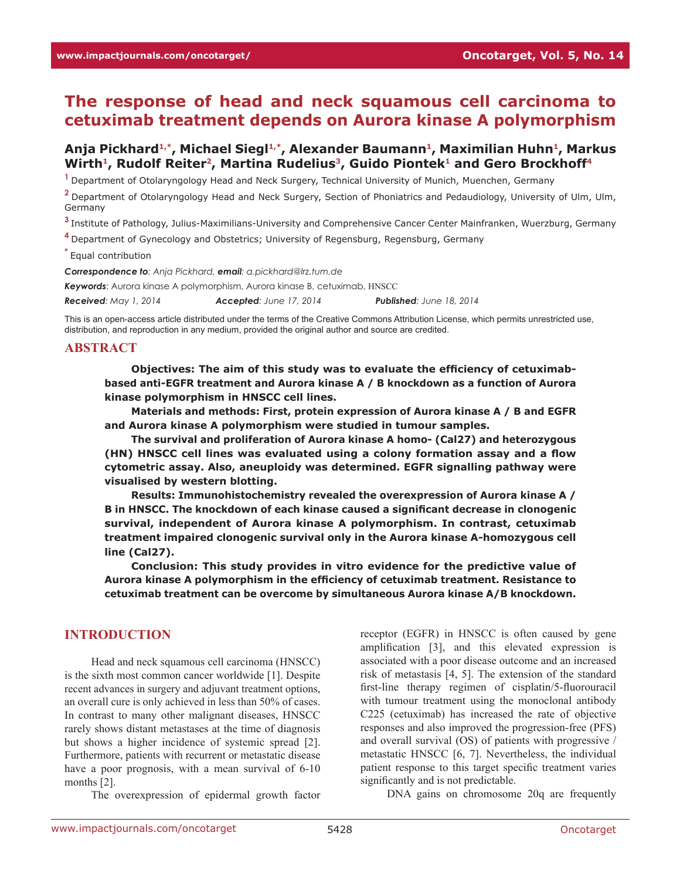# **The response of head and neck squamous cell carcinoma to cetuximab treatment depends on Aurora kinase A polymorphism**

# Anja Pickhard<sup>1,\*</sup>, Michael Siegl<sup>1,\*</sup>, Alexander Baumann<sup>1</sup>, Maximilian Huhn<sup>1</sup>, Markus Wirth<sup>1</sup>, Rudolf Reiter<sup>2</sup>, Martina Rudelius<sup>3</sup>, Guido Piontek<sup>1</sup> and Gero Brockhoff<sup>4</sup>

**<sup>1</sup>**Department of Otolaryngology Head and Neck Surgery, Technical University of Munich, Muenchen, Germany

**<sup>2</sup>**Department of Otolaryngology Head and Neck Surgery, Section of Phoniatrics and Pedaudiology, University of Ulm, Ulm, Germany

**<sup>3</sup>**Institute of Pathology, Julius-Maximilians-University and Comprehensive Cancer Center Mainfranken, Wuerzburg, Germany

**<sup>4</sup>**Department of Gynecology and Obstetrics; University of Regensburg, Regensburg, Germany

**\*** Equal contribution

*Correspondence to: Anja Pickhard, email: a.pickhard@lrz.tum.de Keywords*: Aurora kinase A polymorphism, Aurora kinase B, cetuximab, HNSCC *Received: May 1, 2014 Accepted: June 17, 2014 Published: June 18, 2014*

This is an open-access article distributed under the terms of the Creative Commons Attribution License, which permits unrestricted use, distribution, and reproduction in any medium, provided the original author and source are credited.

# **ABSTRACT**

**Objectives: The aim of this study was to evaluate the efficiency of cetuximabbased anti-EGFR treatment and Aurora kinase A / B knockdown as a function of Aurora kinase polymorphism in HNSCC cell lines.** 

**Materials and methods: First, protein expression of Aurora kinase A / B and EGFR and Aurora kinase A polymorphism were studied in tumour samples.** 

**The survival and proliferation of Aurora kinase A homo- (Cal27) and heterozygous (HN) HNSCC cell lines was evaluated using a colony formation assay and a flow cytometric assay. Also, aneuploidy was determined. EGFR signalling pathway were visualised by western blotting.** 

**Results: Immunohistochemistry revealed the overexpression of Aurora kinase A / B in HNSCC. The knockdown of each kinase caused a significant decrease in clonogenic survival, independent of Aurora kinase A polymorphism. In contrast, cetuximab treatment impaired clonogenic survival only in the Aurora kinase A-homozygous cell line (Cal27).** 

**Conclusion: This study provides in vitro evidence for the predictive value of Aurora kinase A polymorphism in the efficiency of cetuximab treatment. Resistance to cetuximab treatment can be overcome by simultaneous Aurora kinase A/B knockdown.** 

# **INTRODUCTION**

Head and neck squamous cell carcinoma (HNSCC) is the sixth most common cancer worldwide [1]. Despite recent advances in surgery and adjuvant treatment options, an overall cure is only achieved in less than 50% of cases. In contrast to many other malignant diseases, HNSCC rarely shows distant metastases at the time of diagnosis but shows a higher incidence of systemic spread [2]. Furthermore, patients with recurrent or metastatic disease have a poor prognosis, with a mean survival of 6-10 months [2].

The overexpression of epidermal growth factor

receptor (EGFR) in HNSCC is often caused by gene amplification [3], and this elevated expression is associated with a poor disease outcome and an increased risk of metastasis [4, 5]. The extension of the standard first-line therapy regimen of cisplatin/5-fluorouracil with tumour treatment using the monoclonal antibody C225 (cetuximab) has increased the rate of objective responses and also improved the progression-free (PFS) and overall survival (OS) of patients with progressive / metastatic HNSCC [6, 7]. Nevertheless, the individual patient response to this target specific treatment varies significantly and is not predictable.

DNA gains on chromosome 20q are frequently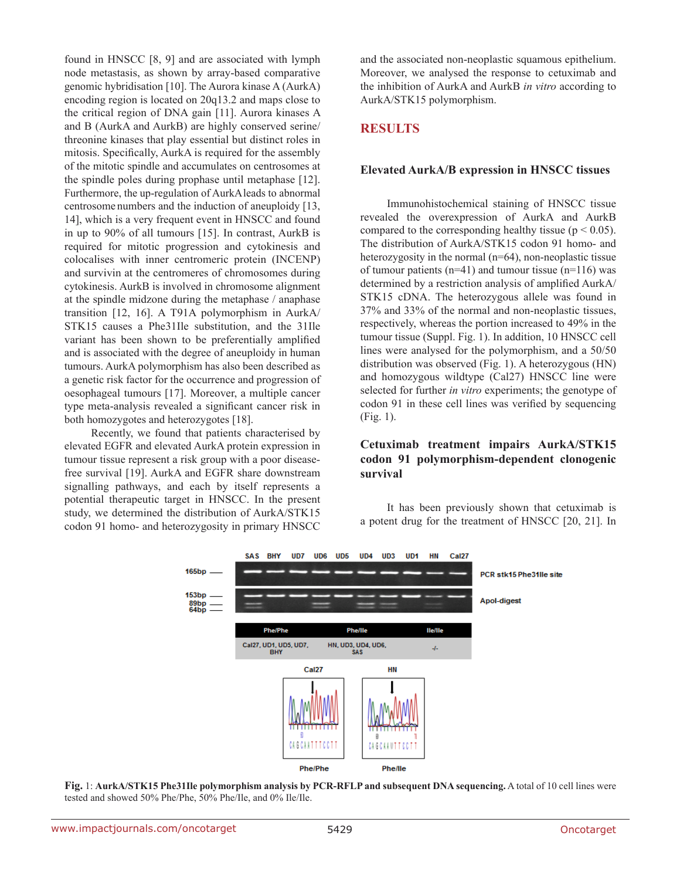found in HNSCC [8, 9] and are associated with lymph node metastasis, as shown by array-based comparative genomic hybridisation [10]. The Aurora kinase A (AurkA) encoding region is located on 20q13.2 and maps close to the critical region of DNA gain [11]. Aurora kinases A and B (AurkA and AurkB) are highly conserved serine/ threonine kinases that play essential but distinct roles in mitosis. Specifically, AurkA is required for the assembly of the mitotic spindle and accumulates on centrosomes at the spindle poles during prophase until metaphase [12]. Furthermore, the up-regulation of AurkAleads to abnormal centrosome numbers and the induction of aneuploidy [13, 14], which is a very frequent event in HNSCC and found in up to 90% of all tumours [15]. In contrast, AurkB is required for mitotic progression and cytokinesis and colocalises with inner centromeric protein (INCENP) and survivin at the centromeres of chromosomes during cytokinesis. AurkB is involved in chromosome alignment at the spindle midzone during the metaphase / anaphase transition [12, 16]. A T91A polymorphism in AurkA/ STK15 causes a Phe31Ile substitution, and the 31Ile variant has been shown to be preferentially amplified and is associated with the degree of aneuploidy in human tumours. AurkA polymorphism has also been described as a genetic risk factor for the occurrence and progression of oesophageal tumours [17]. Moreover, a multiple cancer type meta-analysis revealed a significant cancer risk in both homozygotes and heterozygotes [18].

Recently, we found that patients characterised by elevated EGFR and elevated AurkA protein expression in tumour tissue represent a risk group with a poor diseasefree survival [19]. AurkA and EGFR share downstream signalling pathways, and each by itself represents a potential therapeutic target in HNSCC. In the present study, we determined the distribution of AurkA/STK15 codon 91 homo- and heterozygosity in primary HNSCC and the associated non-neoplastic squamous epithelium. Moreover, we analysed the response to cetuximab and the inhibition of AurkA and AurkB *in vitro* according to AurkA/STK15 polymorphism.

# **RESULTS**

#### **Elevated AurkA/B expression in HNSCC tissues**

Immunohistochemical staining of HNSCC tissue revealed the overexpression of AurkA and AurkB compared to the corresponding healthy tissue ( $p < 0.05$ ). The distribution of AurkA/STK15 codon 91 homo- and heterozygosity in the normal (n=64), non-neoplastic tissue of tumour patients  $(n=41)$  and tumour tissue  $(n=116)$  was determined by a restriction analysis of amplified AurkA/ STK15 cDNA. The heterozygous allele was found in 37% and 33% of the normal and non-neoplastic tissues, respectively, whereas the portion increased to 49% in the tumour tissue (Suppl. Fig. 1). In addition, 10 HNSCC cell lines were analysed for the polymorphism, and a 50/50 distribution was observed (Fig. 1). A heterozygous (HN) and homozygous wildtype (Cal27) HNSCC line were selected for further *in vitro* experiments; the genotype of codon 91 in these cell lines was verified by sequencing (Fig. 1).

## **Cetuximab treatment impairs AurkA/STK15 codon 91 polymorphism-dependent clonogenic survival**

It has been previously shown that cetuximab is a potent drug for the treatment of HNSCC [20, 21]. In



**Fig.** 1: **AurkA/STK15 Phe31Ile polymorphism analysis by PCR-RFLP and subsequent DNA sequencing.** A total of 10 cell lines were tested and showed 50% Phe/Phe, 50% Phe/Ile, and 0% Ile/Ile.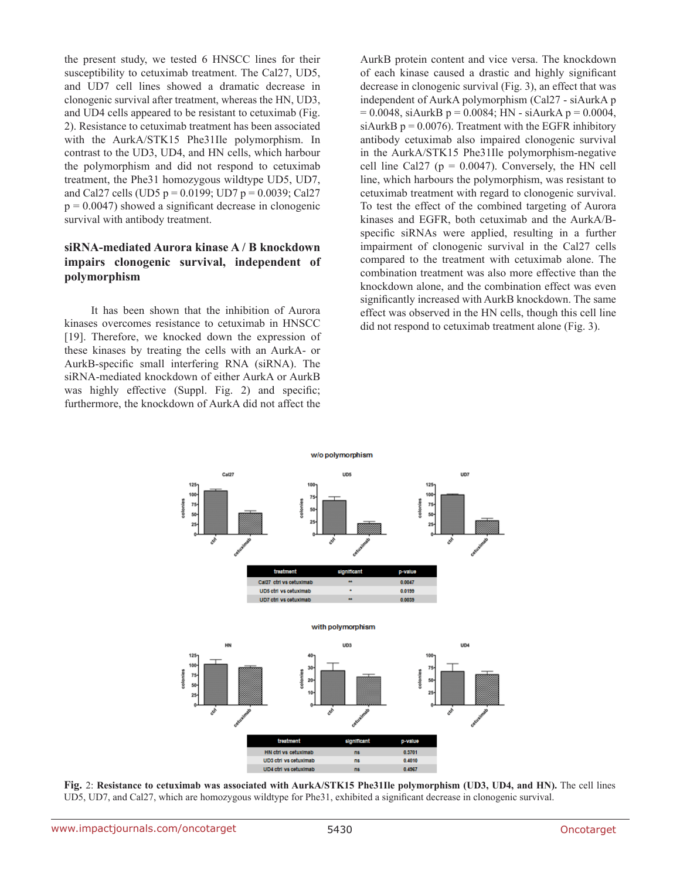the present study, we tested 6 HNSCC lines for their susceptibility to cetuximab treatment. The Cal27, UD5, and UD7 cell lines showed a dramatic decrease in clonogenic survival after treatment, whereas the HN, UD3, and UD4 cells appeared to be resistant to cetuximab (Fig. 2). Resistance to cetuximab treatment has been associated with the AurkA/STK15 Phe31Ile polymorphism. In contrast to the UD3, UD4, and HN cells, which harbour the polymorphism and did not respond to cetuximab treatment, the Phe31 homozygous wildtype UD5, UD7, and Cal27 cells (UD5  $p = 0.0199$ ; UD7  $p = 0.0039$ ; Cal27  $p = 0.0047$ ) showed a significant decrease in clonogenic survival with antibody treatment.

# **siRNA-mediated Aurora kinase A / B knockdown impairs clonogenic survival, independent of polymorphism**

It has been shown that the inhibition of Aurora kinases overcomes resistance to cetuximab in HNSCC [19]. Therefore, we knocked down the expression of these kinases by treating the cells with an AurkA- or AurkB-specific small interfering RNA (siRNA). The siRNA-mediated knockdown of either AurkA or AurkB was highly effective (Suppl. Fig. 2) and specific; furthermore, the knockdown of AurkA did not affect the

AurkB protein content and vice versa. The knockdown of each kinase caused a drastic and highly significant decrease in clonogenic survival (Fig. 3), an effect that was independent of AurkA polymorphism (Cal27 - siAurkA p  $= 0.0048$ , siAurkB p = 0.0084; HN - siAurkA p = 0.0004, siAurkB  $p = 0.0076$ . Treatment with the EGFR inhibitory antibody cetuximab also impaired clonogenic survival in the AurkA/STK15 Phe31Ile polymorphism-negative cell line Cal27 ( $p = 0.0047$ ). Conversely, the HN cell line, which harbours the polymorphism, was resistant to cetuximab treatment with regard to clonogenic survival. To test the effect of the combined targeting of Aurora kinases and EGFR, both cetuximab and the AurkA/Bspecific siRNAs were applied, resulting in a further impairment of clonogenic survival in the Cal27 cells compared to the treatment with cetuximab alone. The combination treatment was also more effective than the knockdown alone, and the combination effect was even significantly increased with AurkB knockdown. The same effect was observed in the HN cells, though this cell line did not respond to cetuximab treatment alone (Fig. 3).



**Fig.** 2: **Resistance to cetuximab was associated with AurkA/STK15 Phe31Ile polymorphism (UD3, UD4, and HN).** The cell lines UD5, UD7, and Cal27, which are homozygous wildtype for Phe31, exhibited a significant decrease in clonogenic survival.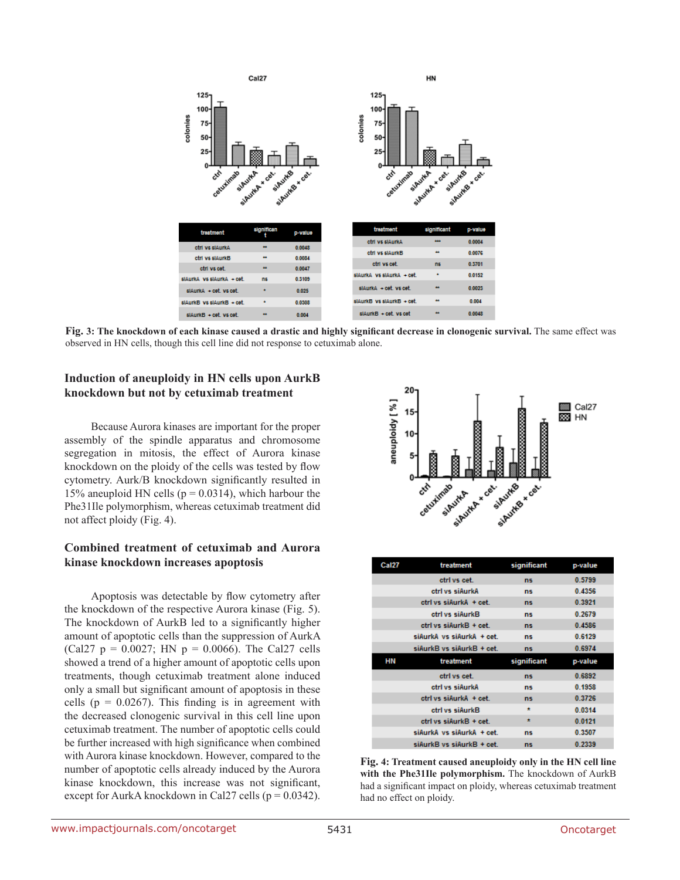

**Fig. 3: The knockdown of each kinase caused a drastic and highly significant decrease in clonogenic survival.** The same effect was observed in HN cells, though this cell line did not response to cetuximab alone.

#### **Induction of aneuploidy in HN cells upon AurkB knockdown but not by cetuximab treatment**

Because Aurora kinases are important for the proper assembly of the spindle apparatus and chromosome segregation in mitosis, the effect of Aurora kinase knockdown on the ploidy of the cells was tested by flow cytometry. Aurk/B knockdown significantly resulted in 15% aneuploid HN cells ( $p = 0.0314$ ), which harbour the Phe31Ile polymorphism, whereas cetuximab treatment did not affect ploidy (Fig. 4).

# **Combined treatment of cetuximab and Aurora kinase knockdown increases apoptosis**

Apoptosis was detectable by flow cytometry after the knockdown of the respective Aurora kinase (Fig. 5). The knockdown of AurkB led to a significantly higher amount of apoptotic cells than the suppression of AurkA (Cal27  $p = 0.0027$ ; HN  $p = 0.0066$ ). The Cal27 cells showed a trend of a higher amount of apoptotic cells upon treatments, though cetuximab treatment alone induced only a small but significant amount of apoptosis in these cells ( $p = 0.0267$ ). This finding is in agreement with the decreased clonogenic survival in this cell line upon cetuximab treatment. The number of apoptotic cells could be further increased with high significance when combined with Aurora kinase knockdown. However, compared to the number of apoptotic cells already induced by the Aurora kinase knockdown, this increase was not significant, except for AurkA knockdown in Cal27 cells ( $p = 0.0342$ ).



| <b>Cal27</b> | treatment                 | significant | p-value |
|--------------|---------------------------|-------------|---------|
|              | ctrl vs cet.              | ns.         | 0.5799  |
|              | ctrl vs siAurkA           | ns.         | 0.4356  |
|              | ctrl vs siAurkA + cet.    | ns.         | 0.3921  |
|              | ctrl vs siAurkB           | ns.         | 0.2679  |
|              | ctrl vs siAurkB + cet.    | <b>ns</b>   | 0.4586  |
|              | siAurkA vs siAurkA + cet. | ns.         | 0.6129  |
|              | siAurkB vs siAurkB + cet. | ns.         | 0.6974  |
|              |                           |             |         |
| НN           | treatment                 | significant | p-value |
|              | ctrl vs cet.              | ns.         | 0.6892  |
|              | ctrl vs siAurkA           | ns.         | 0.1958  |
|              | ctrl vs siAurkA + cet.    | ns.         | 0.3726  |
|              | ctrl vs siAurkB           | $\star$     | 0.0314  |
|              | ctrl vs siAurkB + cet.    | $\star$     | 0.0121  |
|              | siAurkA vs siAurkA + cet. | ns.         | 0.3507  |

**Fig. 4: Treatment caused aneuploidy only in the HN cell line with the Phe31Ile polymorphism.** The knockdown of AurkB had a significant impact on ploidy, whereas cetuximab treatment had no effect on ploidy.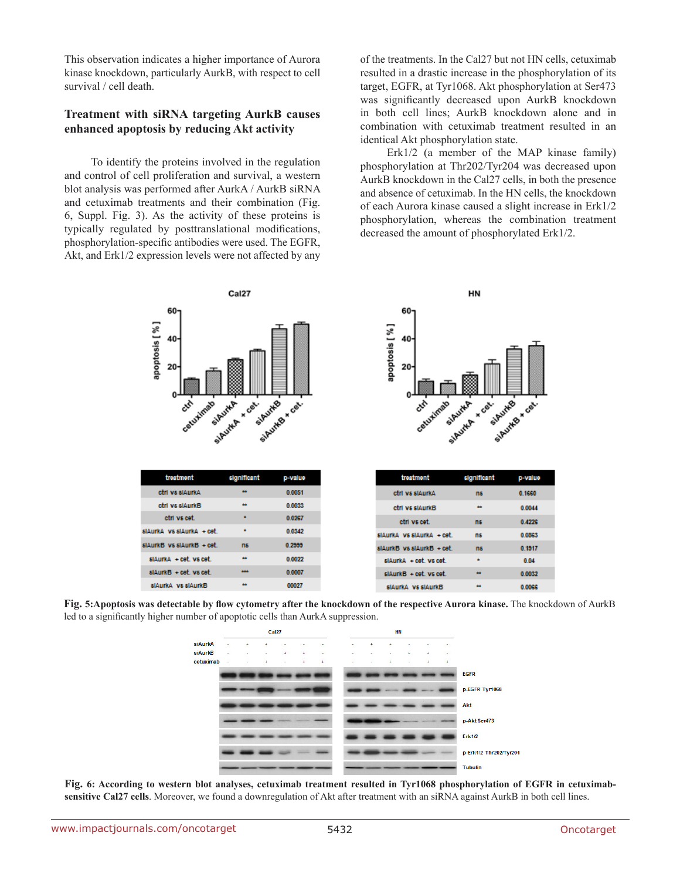This observation indicates a higher importance of Aurora kinase knockdown, particularly AurkB, with respect to cell survival / cell death.

#### **Treatment with siRNA targeting AurkB causes enhanced apoptosis by reducing Akt activity**

To identify the proteins involved in the regulation and control of cell proliferation and survival, a western blot analysis was performed after AurkA / AurkB siRNA and cetuximab treatments and their combination (Fig. 6, Suppl. Fig. 3). As the activity of these proteins is typically regulated by posttranslational modifications, phosphorylation-specific antibodies were used. The EGFR, Akt, and Erk1/2 expression levels were not affected by any of the treatments. In the Cal27 but not HN cells, cetuximab resulted in a drastic increase in the phosphorylation of its target, EGFR, at Tyr1068. Akt phosphorylation at Ser473 was significantly decreased upon AurkB knockdown in both cell lines; AurkB knockdown alone and in combination with cetuximab treatment resulted in an identical Akt phosphorylation state.

Erk1/2 (a member of the MAP kinase family) phosphorylation at Thr202/Tyr204 was decreased upon AurkB knockdown in the Cal27 cells, in both the presence and absence of cetuximab. In the HN cells, the knockdown of each Aurora kinase caused a slight increase in Erk1/2 phosphorylation, whereas the combination treatment decreased the amount of phosphorylated Erk1/2.







**Fig. 6: According to western blot analyses, cetuximab treatment resulted in Tyr1068 phosphorylation of EGFR in cetuximab**sensitive Cal27 cells. Moreover, we found a downregulation of Akt after treatment with an siRNA against AurkB in both cell lines.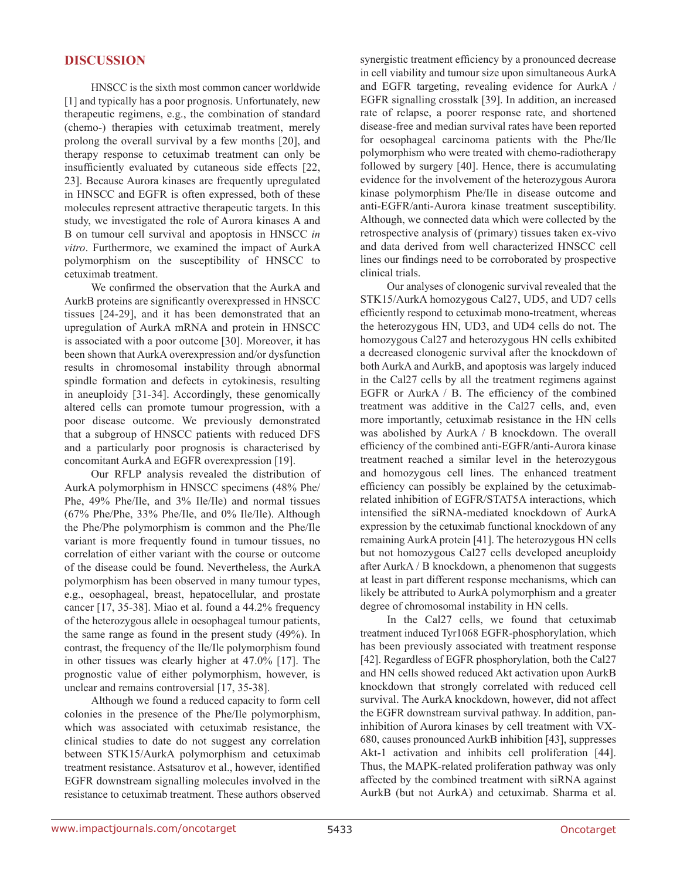# **DISCUSSION**

HNSCC is the sixth most common cancer worldwide [1] and typically has a poor prognosis. Unfortunately, new therapeutic regimens, e.g., the combination of standard (chemo-) therapies with cetuximab treatment, merely prolong the overall survival by a few months [20], and therapy response to cetuximab treatment can only be insufficiently evaluated by cutaneous side effects [22, 23]. Because Aurora kinases are frequently upregulated in HNSCC and EGFR is often expressed, both of these molecules represent attractive therapeutic targets. In this study, we investigated the role of Aurora kinases A and B on tumour cell survival and apoptosis in HNSCC *in vitro*. Furthermore, we examined the impact of AurkA polymorphism on the susceptibility of HNSCC to cetuximab treatment.

We confirmed the observation that the AurkA and AurkB proteins are significantly overexpressed in HNSCC tissues [24-29], and it has been demonstrated that an upregulation of AurkA mRNA and protein in HNSCC is associated with a poor outcome [30]. Moreover, it has been shown that AurkA overexpression and/or dysfunction results in chromosomal instability through abnormal spindle formation and defects in cytokinesis, resulting in aneuploidy [31-34]. Accordingly, these genomically altered cells can promote tumour progression, with a poor disease outcome. We previously demonstrated that a subgroup of HNSCC patients with reduced DFS and a particularly poor prognosis is characterised by concomitant AurkA and EGFR overexpression [19].

Our RFLP analysis revealed the distribution of AurkA polymorphism in HNSCC specimens (48% Phe/ Phe, 49% Phe/Ile, and 3% Ile/Ile) and normal tissues (67% Phe/Phe, 33% Phe/Ile, and 0% Ile/Ile). Although the Phe/Phe polymorphism is common and the Phe/Ile variant is more frequently found in tumour tissues, no correlation of either variant with the course or outcome of the disease could be found. Nevertheless, the AurkA polymorphism has been observed in many tumour types, e.g., oesophageal, breast, hepatocellular, and prostate cancer [17, 35-38]. Miao et al. found a 44.2% frequency of the heterozygous allele in oesophageal tumour patients, the same range as found in the present study (49%). In contrast, the frequency of the Ile/Ile polymorphism found in other tissues was clearly higher at 47.0% [17]. The prognostic value of either polymorphism, however, is unclear and remains controversial [17, 35-38].

Although we found a reduced capacity to form cell colonies in the presence of the Phe/Ile polymorphism, which was associated with cetuximab resistance, the clinical studies to date do not suggest any correlation between STK15/AurkA polymorphism and cetuximab treatment resistance. Astsaturov et al., however, identified EGFR downstream signalling molecules involved in the resistance to cetuximab treatment. These authors observed synergistic treatment efficiency by a pronounced decrease in cell viability and tumour size upon simultaneous AurkA and EGFR targeting, revealing evidence for AurkA / EGFR signalling crosstalk [39]. In addition, an increased rate of relapse, a poorer response rate, and shortened disease-free and median survival rates have been reported for oesophageal carcinoma patients with the Phe/Ile polymorphism who were treated with chemo-radiotherapy followed by surgery [40]. Hence, there is accumulating evidence for the involvement of the heterozygous Aurora kinase polymorphism Phe/Ile in disease outcome and anti-EGFR/anti-Aurora kinase treatment susceptibility. Although, we connected data which were collected by the retrospective analysis of (primary) tissues taken ex-vivo and data derived from well characterized HNSCC cell lines our findings need to be corroborated by prospective clinical trials.

Our analyses of clonogenic survival revealed that the STK15/AurkA homozygous Cal27, UD5, and UD7 cells efficiently respond to cetuximab mono-treatment, whereas the heterozygous HN, UD3, and UD4 cells do not. The homozygous Cal27 and heterozygous HN cells exhibited a decreased clonogenic survival after the knockdown of both AurkA and AurkB, and apoptosis was largely induced in the Cal27 cells by all the treatment regimens against EGFR or AurkA / B. The efficiency of the combined treatment was additive in the Cal27 cells, and, even more importantly, cetuximab resistance in the HN cells was abolished by AurkA / B knockdown. The overall efficiency of the combined anti-EGFR/anti-Aurora kinase treatment reached a similar level in the heterozygous and homozygous cell lines. The enhanced treatment efficiency can possibly be explained by the cetuximabrelated inhibition of EGFR/STAT5A interactions, which intensified the siRNA-mediated knockdown of AurkA expression by the cetuximab functional knockdown of any remaining AurkA protein [41]. The heterozygous HN cells but not homozygous Cal27 cells developed aneuploidy after AurkA / B knockdown, a phenomenon that suggests at least in part different response mechanisms, which can likely be attributed to AurkA polymorphism and a greater degree of chromosomal instability in HN cells.

In the Cal27 cells, we found that cetuximab treatment induced Tyr1068 EGFR-phosphorylation, which has been previously associated with treatment response [42]. Regardless of EGFR phosphorylation, both the Cal27 and HN cells showed reduced Akt activation upon AurkB knockdown that strongly correlated with reduced cell survival. The AurkA knockdown, however, did not affect the EGFR downstream survival pathway. In addition, paninhibition of Aurora kinases by cell treatment with VX-680, causes pronounced AurkB inhibition [43], suppresses Akt-1 activation and inhibits cell proliferation [44]. Thus, the MAPK-related proliferation pathway was only affected by the combined treatment with siRNA against AurkB (but not AurkA) and cetuximab. Sharma et al.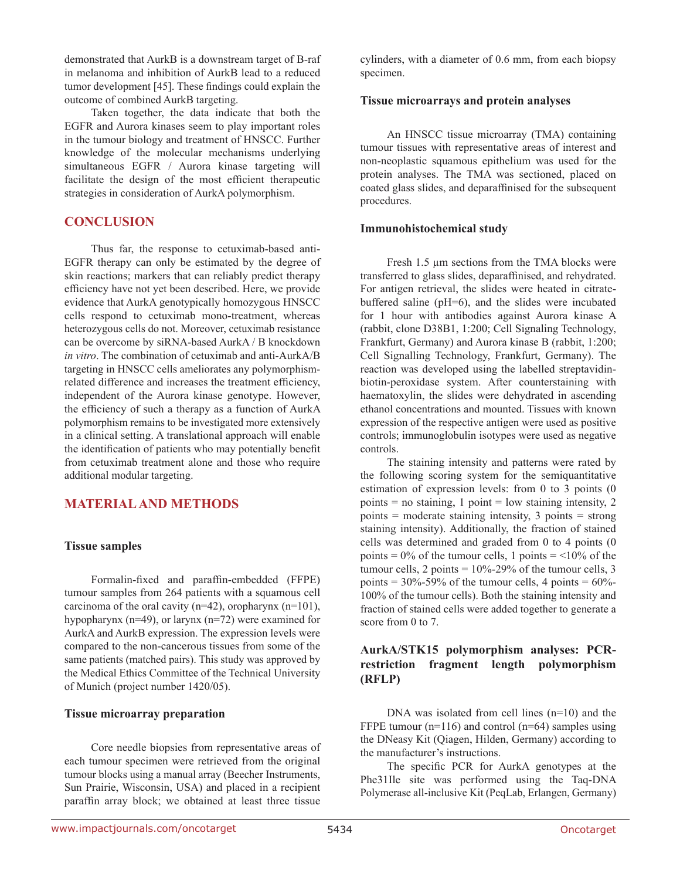demonstrated that AurkB is a downstream target of B-raf in melanoma and inhibition of AurkB lead to a reduced tumor development [45]. These findings could explain the outcome of combined AurkB targeting.

Taken together, the data indicate that both the EGFR and Aurora kinases seem to play important roles in the tumour biology and treatment of HNSCC. Further knowledge of the molecular mechanisms underlying simultaneous EGFR / Aurora kinase targeting will facilitate the design of the most efficient therapeutic strategies in consideration of AurkA polymorphism.

# **CONCLUSION**

Thus far, the response to cetuximab-based anti-EGFR therapy can only be estimated by the degree of skin reactions; markers that can reliably predict therapy efficiency have not yet been described. Here, we provide evidence that AurkA genotypically homozygous HNSCC cells respond to cetuximab mono-treatment, whereas heterozygous cells do not. Moreover, cetuximab resistance can be overcome by siRNA-based AurkA / B knockdown *in vitro*. The combination of cetuximab and anti-AurkA/B targeting in HNSCC cells ameliorates any polymorphismrelated difference and increases the treatment efficiency, independent of the Aurora kinase genotype. However, the efficiency of such a therapy as a function of AurkA polymorphism remains to be investigated more extensively in a clinical setting. A translational approach will enable the identification of patients who may potentially benefit from cetuximab treatment alone and those who require additional modular targeting.

# **MATERIAL AND METHODS**

#### **Tissue samples**

Formalin-fixed and paraffin-embedded (FFPE) tumour samples from 264 patients with a squamous cell carcinoma of the oral cavity (n=42), oropharynx (n=101), hypopharynx (n=49), or larynx (n=72) were examined for AurkA and AurkB expression. The expression levels were compared to the non-cancerous tissues from some of the same patients (matched pairs). This study was approved by the Medical Ethics Committee of the Technical University of Munich (project number 1420/05).

#### **Tissue microarray preparation**

Core needle biopsies from representative areas of each tumour specimen were retrieved from the original tumour blocks using a manual array (Beecher Instruments, Sun Prairie, Wisconsin, USA) and placed in a recipient paraffin array block; we obtained at least three tissue

cylinders, with a diameter of 0.6 mm, from each biopsy specimen.

#### **Tissue microarrays and protein analyses**

An HNSCC tissue microarray (TMA) containing tumour tissues with representative areas of interest and non-neoplastic squamous epithelium was used for the protein analyses. The TMA was sectioned, placed on coated glass slides, and deparaffinised for the subsequent procedures.

#### **Immunohistochemical study**

Fresh 1.5 µm sections from the TMA blocks were transferred to glass slides, deparaffinised, and rehydrated. For antigen retrieval, the slides were heated in citratebuffered saline (pH=6), and the slides were incubated for 1 hour with antibodies against Aurora kinase A (rabbit, clone D38B1, 1:200; Cell Signaling Technology, Frankfurt, Germany) and Aurora kinase B (rabbit, 1:200; Cell Signalling Technology, Frankfurt, Germany). The reaction was developed using the labelled streptavidinbiotin-peroxidase system. After counterstaining with haematoxylin, the slides were dehydrated in ascending ethanol concentrations and mounted. Tissues with known expression of the respective antigen were used as positive controls; immunoglobulin isotypes were used as negative controls.

The staining intensity and patterns were rated by the following scoring system for the semiquantitative estimation of expression levels: from 0 to 3 points (0 points  $=$  no staining, 1 point  $=$  low staining intensity, 2 points  $=$  moderate staining intensity, 3 points  $=$  strong staining intensity). Additionally, the fraction of stained cells was determined and graded from 0 to 4 points (0 points =  $0\%$  of the tumour cells, 1 points =  $\leq 10\%$  of the tumour cells, 2 points  $= 10\% - 29\%$  of the tumour cells, 3 points =  $30\%$ -59% of the tumour cells, 4 points =  $60\%$ -100% of the tumour cells). Both the staining intensity and fraction of stained cells were added together to generate a score from 0 to 7.

## **AurkA/STK15 polymorphism analyses: PCRrestriction fragment length polymorphism (RFLP)**

DNA was isolated from cell lines (n=10) and the FFPE tumour ( $n=116$ ) and control ( $n=64$ ) samples using the DNeasy Kit (Qiagen, Hilden, Germany) according to the manufacturer's instructions.

The specific PCR for AurkA genotypes at the Phe31Ile site was performed using the Taq-DNA Polymerase all-inclusive Kit (PeqLab, Erlangen, Germany)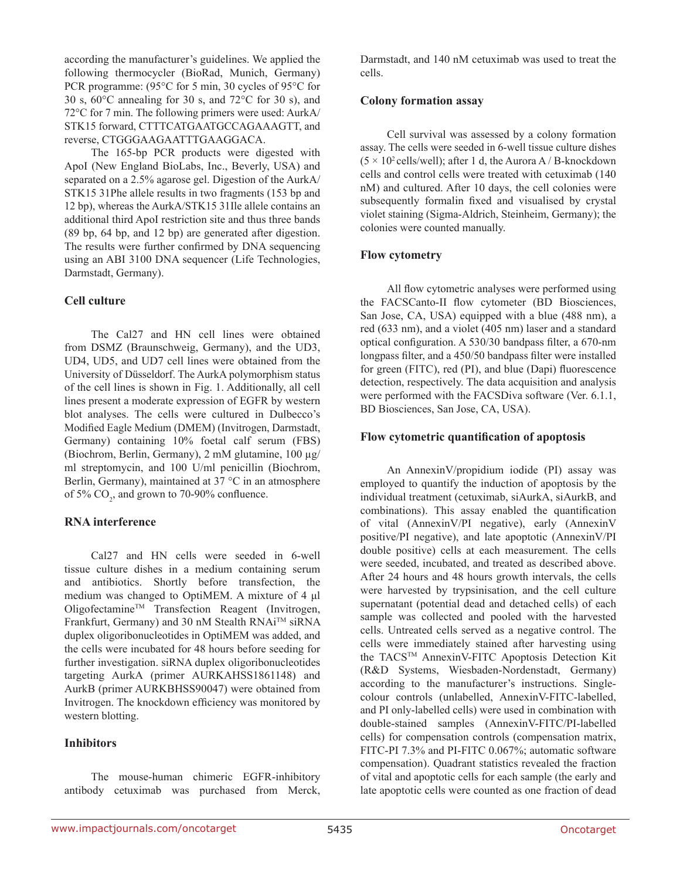according the manufacturer's guidelines. We applied the following thermocycler (BioRad, Munich, Germany) PCR programme: (95°C for 5 min, 30 cycles of 95°C for 30 s,  $60^{\circ}$ C annealing for 30 s, and  $72^{\circ}$ C for 30 s), and 72°C for 7 min. The following primers were used: AurkA/ STK15 forward, CTTTCATGAATGCCAGAAAGTT, and reverse, CTGGGAAGAATTTGAAGGACA.

The 165-bp PCR products were digested with ApoI (New England BioLabs, Inc., Beverly, USA) and separated on a 2.5% agarose gel. Digestion of the AurkA/ STK15 31Phe allele results in two fragments (153 bp and 12 bp), whereas the AurkA/STK15 31Ile allele contains an additional third ApoI restriction site and thus three bands (89 bp, 64 bp, and 12 bp) are generated after digestion. The results were further confirmed by DNA sequencing using an ABI 3100 DNA sequencer (Life Technologies, Darmstadt, Germany).

#### **Cell culture**

The Cal27 and HN cell lines were obtained from DSMZ (Braunschweig, Germany), and the UD3, UD4, UD5, and UD7 cell lines were obtained from the University of Düsseldorf. The AurkA polymorphism status of the cell lines is shown in Fig. 1. Additionally, all cell lines present a moderate expression of EGFR by western blot analyses. The cells were cultured in Dulbecco's Modified Eagle Medium (DMEM) (Invitrogen, Darmstadt, Germany) containing 10% foetal calf serum (FBS) (Biochrom, Berlin, Germany), 2 mM glutamine, 100 µg/ ml streptomycin, and 100 U/ml penicillin (Biochrom, Berlin, Germany), maintained at 37 °C in an atmosphere of 5%  $CO_2$ , and grown to 70-90% confluence.

# **RNA interference**

Cal27 and HN cells were seeded in 6-well tissue culture dishes in a medium containing serum and antibiotics. Shortly before transfection, the medium was changed to OptiMEM. A mixture of 4 μl OligofectamineTM Transfection Reagent (Invitrogen, Frankfurt, Germany) and 30 nM Stealth RNAiTM siRNA duplex oligoribonucleotides in OptiMEM was added, and the cells were incubated for 48 hours before seeding for further investigation. siRNA duplex oligoribonucleotides targeting AurkA (primer AURKAHSS1861148) and AurkB (primer AURKBHSS90047) were obtained from Invitrogen. The knockdown efficiency was monitored by western blotting.

# **Inhibitors**

The mouse-human chimeric EGFR-inhibitory antibody cetuximab was purchased from Merck, Darmstadt, and 140 nM cetuximab was used to treat the cells.

### **Colony formation assay**

Cell survival was assessed by a colony formation assay. The cells were seeded in 6-well tissue culture dishes  $(5 \times 10^2 \text{ cells/well})$ ; after 1 d, the Aurora A / B-knockdown cells and control cells were treated with cetuximab (140 nM) and cultured. After 10 days, the cell colonies were subsequently formalin fixed and visualised by crystal violet staining (Sigma-Aldrich, Steinheim, Germany); the colonies were counted manually.

# **Flow cytometry**

All flow cytometric analyses were performed using the FACSCanto-II flow cytometer (BD Biosciences, San Jose, CA, USA) equipped with a blue (488 nm), a red (633 nm), and a violet (405 nm) laser and a standard optical configuration. A 530/30 bandpass filter, a 670-nm longpass filter, and a 450/50 bandpass filter were installed for green (FITC), red (PI), and blue (Dapi) fluorescence detection, respectively. The data acquisition and analysis were performed with the FACSDiva software (Ver. 6.1.1, BD Biosciences, San Jose, CA, USA).

## **Flow cytometric quantification of apoptosis**

An AnnexinV/propidium iodide (PI) assay was employed to quantify the induction of apoptosis by the individual treatment (cetuximab, siAurkA, siAurkB, and combinations). This assay enabled the quantification of vital (AnnexinV/PI negative), early (AnnexinV positive/PI negative), and late apoptotic (AnnexinV/PI double positive) cells at each measurement. The cells were seeded, incubated, and treated as described above. After 24 hours and 48 hours growth intervals, the cells were harvested by trypsinisation, and the cell culture supernatant (potential dead and detached cells) of each sample was collected and pooled with the harvested cells. Untreated cells served as a negative control. The cells were immediately stained after harvesting using the TACSTM AnnexinV-FITC Apoptosis Detection Kit (R&D Systems, Wiesbaden-Nordenstadt, Germany) according to the manufacturer's instructions. Singlecolour controls (unlabelled, AnnexinV-FITC-labelled, and PI only-labelled cells) were used in combination with double-stained samples (AnnexinV-FITC/PI-labelled cells) for compensation controls (compensation matrix, FITC-PI 7.3% and PI-FITC 0.067%; automatic software compensation). Quadrant statistics revealed the fraction of vital and apoptotic cells for each sample (the early and late apoptotic cells were counted as one fraction of dead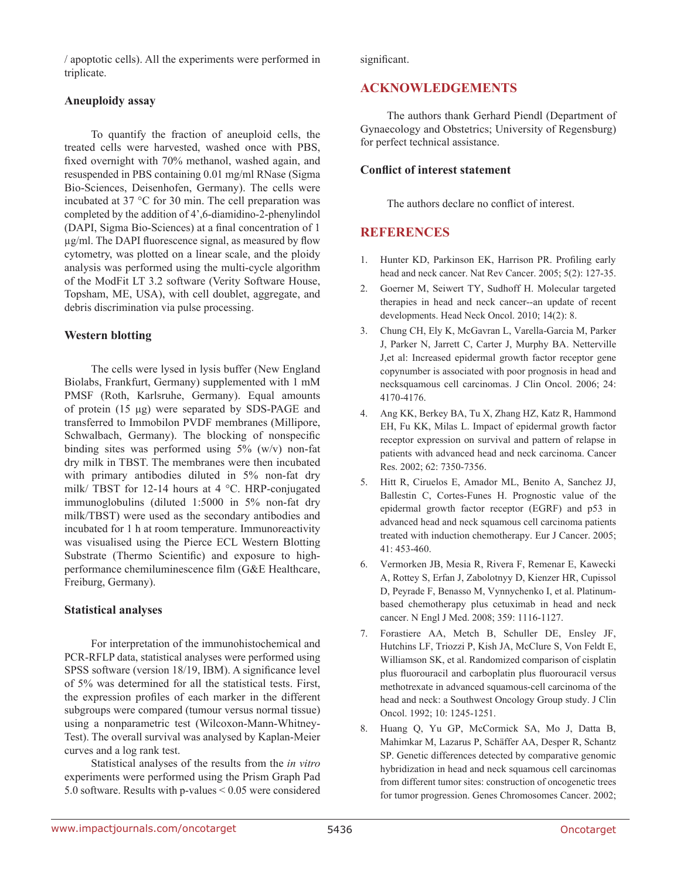/ apoptotic cells). All the experiments were performed in triplicate.

#### **Aneuploidy assay**

To quantify the fraction of aneuploid cells, the treated cells were harvested, washed once with PBS, fixed overnight with 70% methanol, washed again, and resuspended in PBS containing 0.01 mg/ml RNase (Sigma Bio-Sciences, Deisenhofen, Germany). The cells were incubated at 37 °C for 30 min. The cell preparation was completed by the addition of 4',6-diamidino-2-phenylindol (DAPI, Sigma Bio-Sciences) at a final concentration of 1 µg/ml. The DAPI fluorescence signal, as measured by flow cytometry, was plotted on a linear scale, and the ploidy analysis was performed using the multi-cycle algorithm of the ModFit LT 3.2 software (Verity Software House, Topsham, ME, USA), with cell doublet, aggregate, and debris discrimination via pulse processing.

#### **Western blotting**

The cells were lysed in lysis buffer (New England Biolabs, Frankfurt, Germany) supplemented with 1 mM PMSF (Roth, Karlsruhe, Germany). Equal amounts of protein (15 μg) were separated by SDS-PAGE and transferred to Immobilon PVDF membranes (Millipore, Schwalbach, Germany). The blocking of nonspecific binding sites was performed using 5% (w/v) non-fat dry milk in TBST. The membranes were then incubated with primary antibodies diluted in 5% non-fat dry milk/ TBST for 12-14 hours at 4 °C. HRP-conjugated immunoglobulins (diluted 1:5000 in 5% non-fat dry milk/TBST) were used as the secondary antibodies and incubated for 1 h at room temperature. Immunoreactivity was visualised using the Pierce ECL Western Blotting Substrate (Thermo Scientific) and exposure to highperformance chemiluminescence film (G&E Healthcare, Freiburg, Germany).

#### **Statistical analyses**

For interpretation of the immunohistochemical and PCR-RFLP data, statistical analyses were performed using SPSS software (version 18/19, IBM). A significance level of 5% was determined for all the statistical tests. First, the expression profiles of each marker in the different subgroups were compared (tumour versus normal tissue) using a nonparametric test (Wilcoxon-Mann-Whitney-Test). The overall survival was analysed by Kaplan-Meier curves and a log rank test.

Statistical analyses of the results from the *in vitro* experiments were performed using the Prism Graph Pad 5.0 software. Results with p-values < 0.05 were considered significant.

# **ACKNOWLEDGEMENTS**

The authors thank Gerhard Piendl (Department of Gynaecology and Obstetrics; University of Regensburg) for perfect technical assistance.

#### **Conflict of interest statement**

The authors declare no conflict of interest.

# **REFERENCES**

- 1. Hunter KD, Parkinson EK, Harrison PR. Profiling early head and neck cancer. Nat Rev Cancer. 2005; 5(2): 127-35.
- 2. Goerner M, Seiwert TY, Sudhoff H. Molecular targeted therapies in head and neck cancer--an update of recent developments. Head Neck Oncol. 2010; 14(2): 8.
- 3. Chung CH, Ely K, McGavran L, Varella-Garcia M, Parker J, Parker N, Jarrett C, Carter J, Murphy BA. Netterville J,et al: Increased epidermal growth factor receptor gene copynumber is associated with poor prognosis in head and necksquamous cell carcinomas. J Clin Oncol. 2006; 24: 4170-4176.
- 4. Ang KK, Berkey BA, Tu X, Zhang HZ, Katz R, Hammond EH, Fu KK, Milas L. Impact of epidermal growth factor receptor expression on survival and pattern of relapse in patients with advanced head and neck carcinoma. Cancer Res. 2002; 62: 7350-7356.
- 5. Hitt R, Ciruelos E, Amador ML, Benito A, Sanchez JJ, Ballestin C, Cortes-Funes H. Prognostic value of the epidermal growth factor receptor (EGRF) and p53 in advanced head and neck squamous cell carcinoma patients treated with induction chemotherapy. Eur J Cancer. 2005; 41: 453-460.
- 6. Vermorken JB, Mesia R, Rivera F, Remenar E, Kawecki A, Rottey S, Erfan J, Zabolotnyy D, Kienzer HR, Cupissol D, Peyrade F, Benasso M, Vynnychenko I, et al. Platinumbased chemotherapy plus cetuximab in head and neck cancer. N Engl J Med. 2008; 359: 1116-1127.
- 7. Forastiere AA, Metch B, Schuller DE, Ensley JF, Hutchins LF, Triozzi P, Kish JA, McClure S, Von Feldt E, Williamson SK, et al. Randomized comparison of cisplatin plus fluorouracil and carboplatin plus fluorouracil versus methotrexate in advanced squamous-cell carcinoma of the head and neck: a Southwest Oncology Group study. J Clin Oncol. 1992; 10: 1245-1251.
- 8. Huang Q, Yu GP, McCormick SA, Mo J, Datta B, Mahimkar M, Lazarus P, Schäffer AA, Desper R, Schantz SP. Genetic differences detected by comparative genomic hybridization in head and neck squamous cell carcinomas from different tumor sites: construction of oncogenetic trees for tumor progression. Genes Chromosomes Cancer. 2002;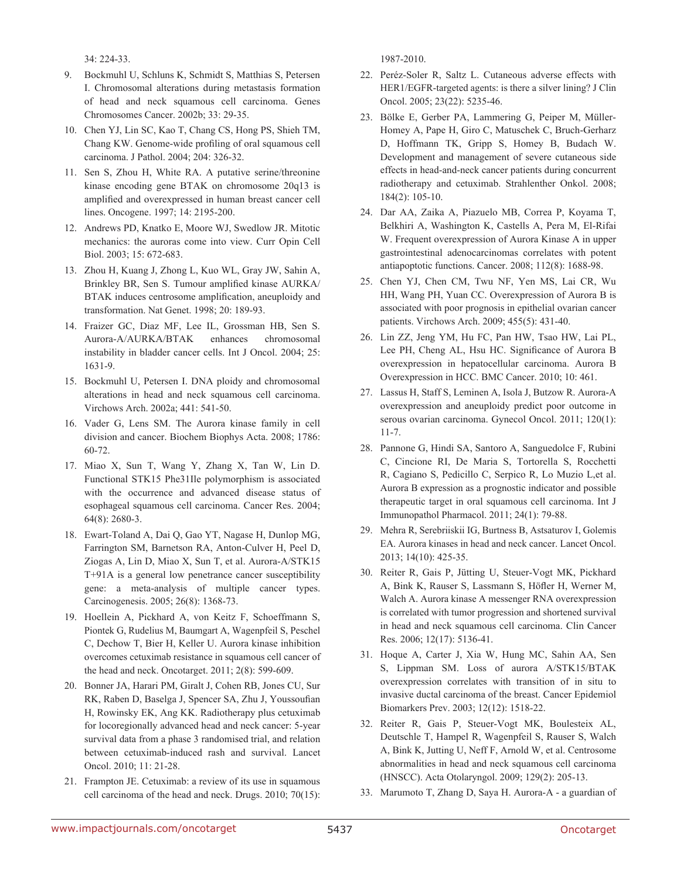34: 224-33.

- 9. Bockmuhl U, Schluns K, Schmidt S, Matthias S, Petersen I. Chromosomal alterations during metastasis formation of head and neck squamous cell carcinoma. Genes Chromosomes Cancer. 2002b; 33: 29-35.
- 10. Chen YJ, Lin SC, Kao T, Chang CS, Hong PS, Shieh TM, Chang KW. Genome-wide profiling of oral squamous cell carcinoma. J Pathol. 2004; 204: 326-32.
- 11. Sen S, Zhou H, White RA. A putative serine/threonine kinase encoding gene BTAK on chromosome 20q13 is amplified and overexpressed in human breast cancer cell lines. Oncogene. 1997; 14: 2195-200.
- 12. Andrews PD, Knatko E, Moore WJ, Swedlow JR. Mitotic mechanics: the auroras come into view. Curr Opin Cell Biol. 2003; 15: 672-683.
- 13. Zhou H, Kuang J, Zhong L, Kuo WL, Gray JW, Sahin A, Brinkley BR, Sen S. Tumour amplified kinase AURKA/ BTAK induces centrosome amplification, aneuploidy and transformation. Nat Genet. 1998; 20: 189-93.
- 14. Fraizer GC, Diaz MF, Lee IL, Grossman HB, Sen S. Aurora-A/AURKA/BTAK enhances chromosomal instability in bladder cancer cells. Int J Oncol. 2004; 25: 1631-9.
- 15. Bockmuhl U, Petersen I. DNA ploidy and chromosomal alterations in head and neck squamous cell carcinoma. Virchows Arch. 2002a; 441: 541-50.
- 16. Vader G, Lens SM. The Aurora kinase family in cell division and cancer. Biochem Biophys Acta. 2008; 1786: 60-72.
- 17. Miao X, Sun T, Wang Y, Zhang X, Tan W, Lin D. Functional STK15 Phe31Ile polymorphism is associated with the occurrence and advanced disease status of esophageal squamous cell carcinoma. Cancer Res. 2004; 64(8): 2680-3.
- 18. Ewart-Toland A, Dai Q, Gao YT, Nagase H, Dunlop MG, Farrington SM, Barnetson RA, Anton-Culver H, Peel D, Ziogas A, Lin D, Miao X, Sun T, et al. Aurora-A/STK15 T+91A is a general low penetrance cancer susceptibility gene: a meta-analysis of multiple cancer types. Carcinogenesis. 2005; 26(8): 1368-73.
- 19. Hoellein A, Pickhard A, von Keitz F, Schoeffmann S, Piontek G, Rudelius M, Baumgart A, Wagenpfeil S, Peschel C, Dechow T, Bier H, Keller U. Aurora kinase inhibition overcomes cetuximab resistance in squamous cell cancer of the head and neck. Oncotarget. 2011; 2(8): 599-609.
- 20. Bonner JA, Harari PM, Giralt J, Cohen RB, Jones CU, Sur RK, Raben D, Baselga J, Spencer SA, Zhu J, Youssoufian H, Rowinsky EK, Ang KK. Radiotherapy plus cetuximab for locoregionally advanced head and neck cancer: 5-year survival data from a phase 3 randomised trial, and relation between cetuximab-induced rash and survival. Lancet Oncol. 2010; 11: 21-28.
- 21. Frampton JE. Cetuximab: a review of its use in squamous cell carcinoma of the head and neck. Drugs. 2010; 70(15):

1987-2010.

- 22. Peréz-Soler R, Saltz L. Cutaneous adverse effects with HER1/EGFR-targeted agents: is there a silver lining? J Clin Oncol. 2005; 23(22): 5235-46.
- 23. Bölke E, Gerber PA, Lammering G, Peiper M, Müller-Homey A, Pape H, Giro C, Matuschek C, Bruch-Gerharz D, Hoffmann TK, Gripp S, Homey B, Budach W. Development and management of severe cutaneous side effects in head-and-neck cancer patients during concurrent radiotherapy and cetuximab. Strahlenther Onkol. 2008; 184(2): 105-10.
- 24. Dar AA, Zaika A, Piazuelo MB, Correa P, Koyama T, Belkhiri A, Washington K, Castells A, Pera M, El-Rifai W. Frequent overexpression of Aurora Kinase A in upper gastrointestinal adenocarcinomas correlates with potent antiapoptotic functions. Cancer. 2008; 112(8): 1688-98.
- 25. Chen YJ, Chen CM, Twu NF, Yen MS, Lai CR, Wu HH, Wang PH, Yuan CC. Overexpression of Aurora B is associated with poor prognosis in epithelial ovarian cancer patients. Virchows Arch. 2009; 455(5): 431-40.
- 26. Lin ZZ, Jeng YM, Hu FC, Pan HW, Tsao HW, Lai PL, Lee PH, Cheng AL, Hsu HC. Significance of Aurora B overexpression in hepatocellular carcinoma. Aurora B Overexpression in HCC. BMC Cancer. 2010; 10: 461.
- 27. Lassus H, Staff S, Leminen A, Isola J, Butzow R. Aurora-A overexpression and aneuploidy predict poor outcome in serous ovarian carcinoma. Gynecol Oncol. 2011; 120(1): 11-7.
- 28. Pannone G, Hindi SA, Santoro A, Sanguedolce F, Rubini C, Cincione RI, De Maria S, Tortorella S, Rocchetti R, Cagiano S, Pedicillo C, Serpico R, Lo Muzio L,et al. Aurora B expression as a prognostic indicator and possible therapeutic target in oral squamous cell carcinoma. Int J Immunopathol Pharmacol. 2011; 24(1): 79-88.
- 29. Mehra R, Serebriiskii IG, Burtness B, Astsaturov I, Golemis EA. Aurora kinases in head and neck cancer. Lancet Oncol. 2013; 14(10): 425-35.
- 30. Reiter R, Gais P, Jütting U, Steuer-Vogt MK, Pickhard A, Bink K, Rauser S, Lassmann S, Höfler H, Werner M, Walch A. Aurora kinase A messenger RNA overexpression is correlated with tumor progression and shortened survival in head and neck squamous cell carcinoma. Clin Cancer Res. 2006; 12(17): 5136-41.
- 31. Hoque A, Carter J, Xia W, Hung MC, Sahin AA, Sen S, Lippman SM. Loss of aurora A/STK15/BTAK overexpression correlates with transition of in situ to invasive ductal carcinoma of the breast. Cancer Epidemiol Biomarkers Prev. 2003; 12(12): 1518-22.
- 32. Reiter R, Gais P, Steuer-Vogt MK, Boulesteix AL, Deutschle T, Hampel R, Wagenpfeil S, Rauser S, Walch A, Bink K, Jutting U, Neff F, Arnold W, et al. Centrosome abnormalities in head and neck squamous cell carcinoma (HNSCC). Acta Otolaryngol. 2009; 129(2): 205-13.
- 33. Marumoto T, Zhang D, Saya H. Aurora-A a guardian of